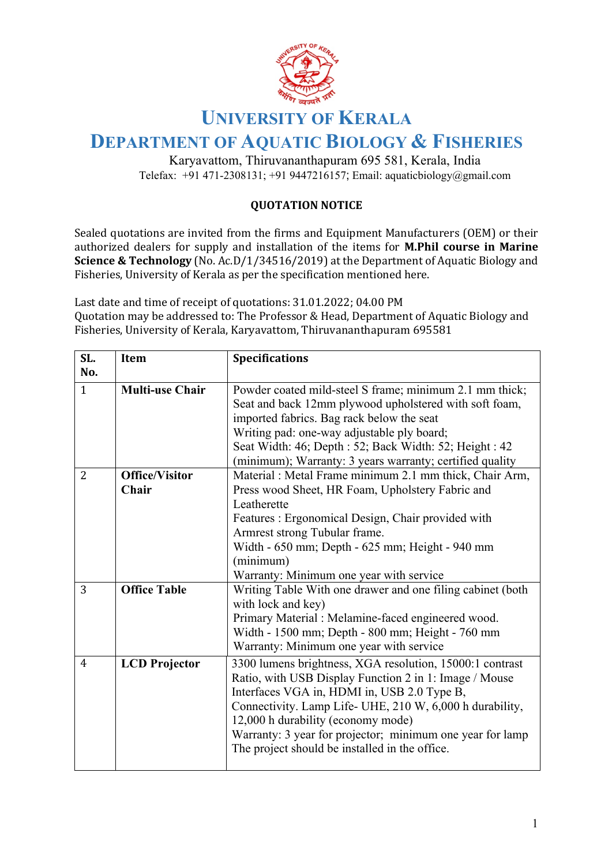

## **UNIVERSITY OF KERALA**

## **DEPARTMENT OF AQUATIC BIOLOGY & FISHERIES**

Karyavattom, Thiruvananthapuram 695 581, Kerala, India Telefax: +91 471-2308131; +91 9447216157; Email: aquaticbiology@gmail.com

## **QUOTATION NOTICE**

Sealed quotations are invited from the firms and Equipment Manufacturers (OEM) or their authorized dealers for supply and installation of the items for **M.Phil course in Marine Science & Technology** (No. Ac.D/1/34516/2019) at the Department of Aquatic Biology and Fisheries, University of Kerala as per the specification mentioned here.

Last date and time of receipt of quotations: 31.01.2022; 04.00 PM Quotation may be addressed to: The Professor & Head, Department of Aquatic Biology and Fisheries, University of Kerala, Karyavattom, Thiruvananthapuram 695581

| SL.            | <b>Item</b>            | <b>Specifications</b>                                      |
|----------------|------------------------|------------------------------------------------------------|
| No.            |                        |                                                            |
| $\mathbf{1}$   | <b>Multi-use Chair</b> | Powder coated mild-steel S frame; minimum 2.1 mm thick;    |
|                |                        | Seat and back 12mm plywood upholstered with soft foam,     |
|                |                        | imported fabrics. Bag rack below the seat                  |
|                |                        | Writing pad: one-way adjustable ply board;                 |
|                |                        | Seat Width: 46; Depth : 52; Back Width: 52; Height : 42    |
|                |                        | (minimum); Warranty: 3 years warranty; certified quality   |
| $\overline{2}$ | <b>Office/Visitor</b>  | Material : Metal Frame minimum 2.1 mm thick, Chair Arm,    |
|                | Chair                  | Press wood Sheet, HR Foam, Upholstery Fabric and           |
|                |                        | Leatherette                                                |
|                |                        | Features : Ergonomical Design, Chair provided with         |
|                |                        | Armrest strong Tubular frame.                              |
|                |                        | Width - 650 mm; Depth - 625 mm; Height - 940 mm            |
|                |                        | (minimum)                                                  |
|                |                        | Warranty: Minimum one year with service                    |
| 3              | <b>Office Table</b>    | Writing Table With one drawer and one filing cabinet (both |
|                |                        | with lock and key)                                         |
|                |                        | Primary Material : Melamine-faced engineered wood.         |
|                |                        | Width - 1500 mm; Depth - 800 mm; Height - 760 mm           |
|                |                        | Warranty: Minimum one year with service                    |
| $\overline{4}$ | <b>LCD</b> Projector   | 3300 lumens brightness, XGA resolution, 15000:1 contrast   |
|                |                        | Ratio, with USB Display Function 2 in 1: Image / Mouse     |
|                |                        | Interfaces VGA in, HDMI in, USB 2.0 Type B,                |
|                |                        | Connectivity. Lamp Life- UHE, 210 W, 6,000 h durability,   |
|                |                        | 12,000 h durability (economy mode)                         |
|                |                        | Warranty: 3 year for projector; minimum one year for lamp  |
|                |                        | The project should be installed in the office.             |
|                |                        |                                                            |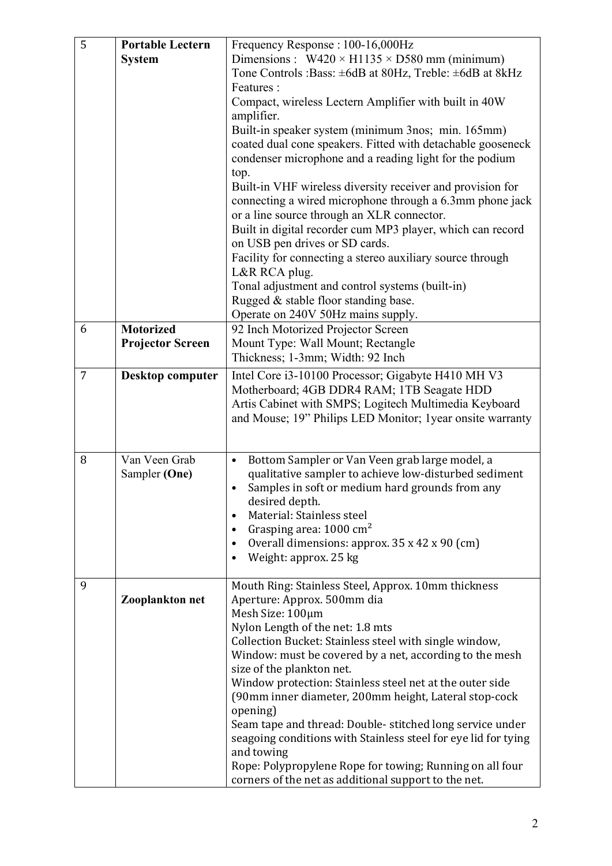| $\overline{5}$ | <b>Portable Lectern</b><br><b>System</b>    | Frequency Response: 100-16,000Hz<br>Dimensions : $W420 \times H1135 \times D580$ mm (minimum)<br>Tone Controls :Bass: ±6dB at 80Hz, Treble: ±6dB at 8kHz<br>Features:<br>Compact, wireless Lectern Amplifier with built in 40W<br>amplifier.<br>Built-in speaker system (minimum 3nos; min. 165mm)<br>coated dual cone speakers. Fitted with detachable gooseneck<br>condenser microphone and a reading light for the podium<br>top.<br>Built-in VHF wireless diversity receiver and provision for<br>connecting a wired microphone through a 6.3mm phone jack<br>or a line source through an XLR connector.<br>Built in digital recorder cum MP3 player, which can record<br>on USB pen drives or SD cards.<br>Facility for connecting a stereo auxiliary source through<br>L&R RCA plug.<br>Tonal adjustment and control systems (built-in)<br>Rugged & stable floor standing base.<br>Operate on 240V 50Hz mains supply. |
|----------------|---------------------------------------------|-----------------------------------------------------------------------------------------------------------------------------------------------------------------------------------------------------------------------------------------------------------------------------------------------------------------------------------------------------------------------------------------------------------------------------------------------------------------------------------------------------------------------------------------------------------------------------------------------------------------------------------------------------------------------------------------------------------------------------------------------------------------------------------------------------------------------------------------------------------------------------------------------------------------------------|
| 6              | <b>Motorized</b><br><b>Projector Screen</b> | 92 Inch Motorized Projector Screen<br>Mount Type: Wall Mount; Rectangle<br>Thickness; 1-3mm; Width: 92 Inch                                                                                                                                                                                                                                                                                                                                                                                                                                                                                                                                                                                                                                                                                                                                                                                                                 |
| 7              | <b>Desktop computer</b>                     | Intel Core i3-10100 Processor; Gigabyte H410 MH V3<br>Motherboard; 4GB DDR4 RAM; 1TB Seagate HDD<br>Artis Cabinet with SMPS; Logitech Multimedia Keyboard<br>and Mouse; 19" Philips LED Monitor; 1year onsite warranty                                                                                                                                                                                                                                                                                                                                                                                                                                                                                                                                                                                                                                                                                                      |
| 8              | Van Veen Grab<br>Sampler (One)              | Bottom Sampler or Van Veen grab large model, a<br>$\bullet$<br>qualitative sampler to achieve low-disturbed sediment<br>Samples in soft or medium hard grounds from any<br>desired depth.<br>Material: Stainless steel<br>$\bullet$<br>Grasping area: 1000 cm <sup>2</sup><br>Overall dimensions: approx. 35 x 42 x 90 (cm)<br>Weight: approx. 25 kg                                                                                                                                                                                                                                                                                                                                                                                                                                                                                                                                                                        |
| 9              | Zooplankton net                             | Mouth Ring: Stainless Steel, Approx. 10mm thickness<br>Aperture: Approx. 500mm dia<br>Mesh Size: 100µm<br>Nylon Length of the net: 1.8 mts<br>Collection Bucket: Stainless steel with single window,<br>Window: must be covered by a net, according to the mesh<br>size of the plankton net.<br>Window protection: Stainless steel net at the outer side<br>(90mm inner diameter, 200mm height, Lateral stop-cock<br>opening)<br>Seam tape and thread: Double-stitched long service under<br>seagoing conditions with Stainless steel for eye lid for tying<br>and towing<br>Rope: Polypropylene Rope for towing; Running on all four<br>corners of the net as additional support to the net.                                                                                                                                                                                                                               |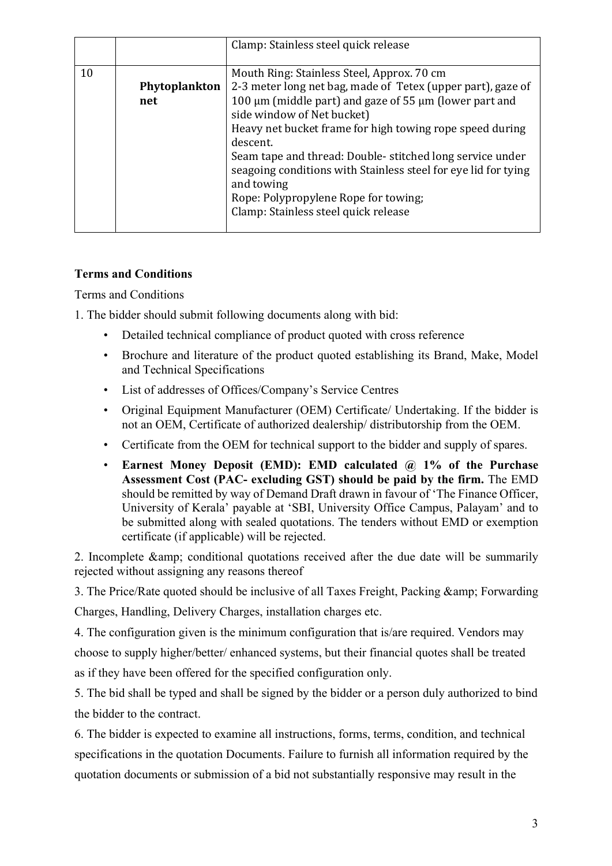|    |                      | Clamp: Stainless steel quick release                                                                                                                                                                                                                                                                                                                                                                                                                                                                  |
|----|----------------------|-------------------------------------------------------------------------------------------------------------------------------------------------------------------------------------------------------------------------------------------------------------------------------------------------------------------------------------------------------------------------------------------------------------------------------------------------------------------------------------------------------|
| 10 | Phytoplankton<br>net | Mouth Ring: Stainless Steel, Approx. 70 cm<br>2-3 meter long net bag, made of Tetex (upper part), gaze of<br>100 μm (middle part) and gaze of 55 μm (lower part and<br>side window of Net bucket)<br>Heavy net bucket frame for high towing rope speed during<br>descent.<br>Seam tape and thread: Double-stitched long service under<br>seagoing conditions with Stainless steel for eye lid for tying<br>and towing<br>Rope: Polypropylene Rope for towing;<br>Clamp: Stainless steel quick release |

## **Terms and Conditions**

Terms and Conditions

1. The bidder should submit following documents along with bid:

- Detailed technical compliance of product quoted with cross reference
- Brochure and literature of the product quoted establishing its Brand, Make, Model and Technical Specifications
- List of addresses of Offices/Company's Service Centres
- Original Equipment Manufacturer (OEM) Certificate/ Undertaking. If the bidder is not an OEM, Certificate of authorized dealership/ distributorship from the OEM.
- Certificate from the OEM for technical support to the bidder and supply of spares.
- **Earnest Money Deposit (EMD): EMD calculated @ 1% of the Purchase Assessment Cost (PAC- excluding GST) should be paid by the firm.** The EMD should be remitted by way of Demand Draft drawn in favour of 'The Finance Officer, University of Kerala' payable at 'SBI, University Office Campus, Palayam' and to be submitted along with sealed quotations. The tenders without EMD or exemption certificate (if applicable) will be rejected.

2. Incomplete & amp; conditional quotations received after the due date will be summarily rejected without assigning any reasons thereof

3. The Price/Rate quoted should be inclusive of all Taxes Freight, Packing & amp; Forwarding

Charges, Handling, Delivery Charges, installation charges etc.

4. The configuration given is the minimum configuration that is/are required. Vendors may choose to supply higher/better/ enhanced systems, but their financial quotes shall be treated as if they have been offered for the specified configuration only.

5. The bid shall be typed and shall be signed by the bidder or a person duly authorized to bind the bidder to the contract.

6. The bidder is expected to examine all instructions, forms, terms, condition, and technical specifications in the quotation Documents. Failure to furnish all information required by the quotation documents or submission of a bid not substantially responsive may result in the